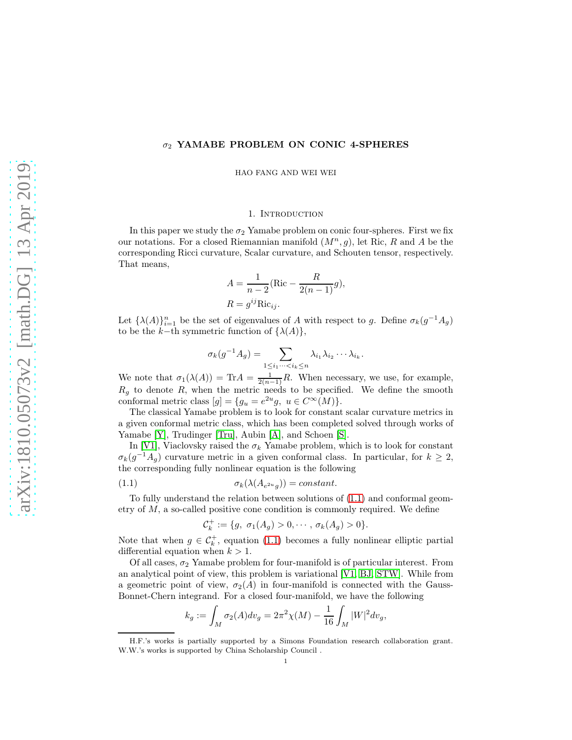# $\sigma_2$  YAMABE PROBLEM ON CONIC 4-SPHERES

HAO FANG AND WEI WEI

#### 1. INTRODUCTION

In this paper we study the  $\sigma_2$  Yamabe problem on conic four-spheres. First we fix our notations. For a closed Riemannian manifold  $(M^n, g)$ , let Ric, R and A be the corresponding Ricci curvature, Scalar curvature, and Schouten tensor, respectively. That means,

$$
A = \frac{1}{n-2} (\text{Ric} - \frac{R}{2(n-1)}g),
$$
  

$$
R = g^{ij} \text{Ric}_{ij}.
$$

Let  $\{\lambda(A)\}_{i=1}^n$  be the set of eigenvalues of A with respect to g. Define  $\sigma_k(g^{-1}A_g)$ to be the k−th symmetric function of  $\{\lambda(A)\},\$ 

$$
\sigma_k(g^{-1}A_g) = \sum_{1 \leq i_1 \cdots < i_k \leq n} \lambda_{i_1} \lambda_{i_2} \cdots \lambda_{i_k}.
$$

We note that  $\sigma_1(\lambda(A)) = \text{Tr} A = \frac{1}{2(n-1)}R$ . When necessary, we use, for example,  $R_g$  to denote  $R$ , when the metric needs to be specified. We define the smooth conformal metric class  $[g] = \{g_u = e^{2u}g, u \in C^{\infty}(M)\}.$ 

The classical Yamabe problem is to look for constant scalar curvature metrics in a given conformal metric class, which has been completed solved through works of Yamabe [\[Y\]](#page-19-0), Trudinger [\[Tru\]](#page-19-1), Aubin [\[A\]](#page-16-0), and Schoen [\[S\]](#page-18-0).

In [\[V1\]](#page-19-2), Viaclovsky raised the  $\sigma_k$  Yamabe problem, which is to look for constant  $\sigma_k(g^{-1}A_g)$  curvature metric in a given conformal class. In particular, for  $k \geq 2$ , the corresponding fully nonlinear equation is the following

(1.1) 
$$
\sigma_k(\lambda(A_{e^{2u}g})) = constant.
$$

To fully understand the relation between solutions of [\(1.1\)](#page-0-0) and conformal geometry of  $M$ , a so-called positive cone condition is commonly required. We define

<span id="page-0-0"></span>
$$
C_k^+ := \{g, \ \sigma_1(A_g) > 0, \cdots, \sigma_k(A_g) > 0\}.
$$

Note that when  $g \in \mathcal{C}_k^+$ , equation [\(1.1\)](#page-0-0) becomes a fully nonlinear elliptic partial differential equation when  $k > 1$ .

Of all cases,  $\sigma_2$  Yamabe problem for four-manifold is of particular interest. From an analytical point of view, this problem is variational [\[V1,](#page-19-2) [BJ,](#page-17-0) [STW\]](#page-19-3). While from a geometric point of view,  $\sigma_2(A)$  in four-manifold is connected with the Gauss-Bonnet-Chern integrand. For a closed four-manifold, we have the following

$$
k_g := \int_M \sigma_2(A) dv_g = 2\pi^2 \chi(M) - \frac{1}{16} \int_M |W|^2 dv_g,
$$

H.F.'s works is partially supported by a Simons Foundation research collaboration grant. W.W.'s works is supported by China Scholarship Council .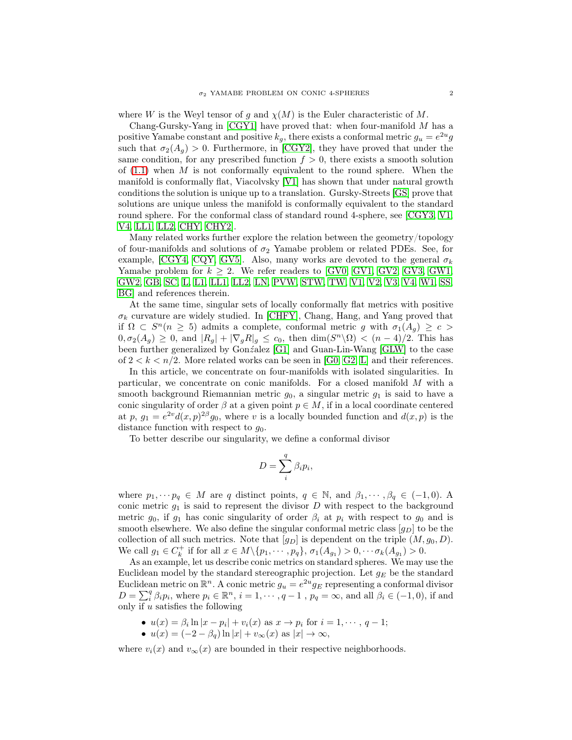where W is the Weyl tensor of g and  $\chi(M)$  is the Euler characteristic of M.

Chang-Gursky-Yang in  $[CGY1]$  have proved that: when four-manifold M has a positive Yamabe constant and positive  $k_g$ , there exists a conformal metric  $g_u = e^{2u}g$ such that  $\sigma_2(A_g) > 0$ . Furthermore, in [\[CGY2\]](#page-17-2), they have proved that under the same condition, for any prescribed function  $f > 0$ , there exists a smooth solution of  $(1.1)$  when M is not conformally equivalent to the round sphere. When the manifold is conformally flat, Viacolvsky [\[V1\]](#page-19-2) has shown that under natural growth conditions the solution is unique up to a translation. Gursky-Streets [\[GS\]](#page-18-1) prove that solutions are unique unless the manifold is conformally equivalent to the standard round sphere. For the conformal class of standard round 4-sphere, see [\[CGY3,](#page-17-3) [V1,](#page-19-2) [V4,](#page-19-4) [LL1,](#page-18-2) [LL2,](#page-18-3) [CHY,](#page-17-4) [CHY2\]](#page-17-5).

Many related works further explore the relation between the geometry/topology of four-manifolds and solutions of  $\sigma_2$  Yamabe problem or related PDEs. See, for example, [\[CGY4,](#page-17-6) [CQY,](#page-17-7) [GV5\]](#page-18-4). Also, many works are devoted to the general  $\sigma_k$ Yamabe problem for  $k \geq 2$ . We refer readers to [\[GV0,](#page-18-5) [GV1,](#page-18-6) [GV2,](#page-18-7) [GV3,](#page-18-8) [GW1,](#page-17-8) [GW2,](#page-17-9) [GB,](#page-17-10) [SC,](#page-17-11) [L,](#page-18-9) [L1,](#page-18-10) [LL1,](#page-18-2) [LL2,](#page-18-3) [LN,](#page-18-11) [PVW,](#page-18-12) [STW,](#page-19-3) [TW,](#page-19-5) [V1,](#page-19-2) [V2,](#page-19-6) [V3,](#page-19-7) [V4,](#page-19-4) [W1,](#page-19-8) [SS,](#page-19-9) [BG\]](#page-17-12) and references therein.

At the same time, singular sets of locally conformally flat metrics with positive  $\sigma_k$  curvature are widely studied. In [\[CHFY\]](#page-17-13), Chang, Hang, and Yang proved that if  $\Omega \subset S^n(n \geq 5)$  admits a complete, conformal metric g with  $\sigma_1(A_g) \geq c$  $0, \sigma_2(A_g) \geq 0$ , and  $|R_g| + |\nabla_g R|_g \leq c_0$ , then  $\dim(S^n \backslash \Omega) < (n-4)/2$ . This has been further generalized by Gonz´alez [\[G1\]](#page-18-13) and Guan-Lin-Wang [\[GLW\]](#page-18-14) to the case of  $2 < k < n/2$ . More related works can be seen in [\[G0,](#page-18-15) [G2,](#page-18-16) [L\]](#page-18-9) and their references.

In this article, we concentrate on four-manifolds with isolated singularities. In particular, we concentrate on conic manifolds. For a closed manifold M with a smooth background Riemannian metric  $g_0$ , a singular metric  $g_1$  is said to have a conic singularity of order  $\beta$  at a given point  $p \in M$ , if in a local coordinate centered at p,  $g_1 = e^{2v} d(x, p)^{2\beta} g_0$ , where v is a locally bounded function and  $d(x, p)$  is the distance function with respect to  $q_0$ .

To better describe our singularity, we define a conformal divisor

$$
D = \sum_{i}^{q} \beta_i p_i,
$$

where  $p_1, \dots, p_q \in M$  are q distinct points,  $q \in \mathbb{N}$ , and  $\beta_1, \dots, \beta_q \in (-1, 0)$ . A conic metric  $g_1$  is said to represent the divisor D with respect to the background metric  $g_0$ , if  $g_1$  has conic singularity of order  $\beta_i$  at  $p_i$  with respect to  $g_0$  and is smooth elsewhere. We also define the singular conformal metric class  $[g_D]$  to be the collection of all such metrics. Note that  $[g_D]$  is dependent on the triple  $(M, g_0, D)$ . We call  $g_1 \in C_k^+$  if for all  $x \in M \setminus \{p_1, \cdots, p_q\}, \sigma_1(A_{g_1}) > 0, \cdots \sigma_k(A_{g_1}) > 0.$ 

As an example, let us describe conic metrics on standard spheres. We may use the Euclidean model by the standard stereographic projection. Let  $g_E$  be the standard Euclidean metric on  $\mathbb{R}^n$ . A conic metric  $g_u = e^{2u} g_E$  representing a conformal divisor  $D = \sum_{i}^{q} \beta_i p_i$ , where  $p_i \in \mathbb{R}^n$ ,  $i = 1, \dots, q-1$ ,  $p_q = \infty$ , and all  $\beta_i \in (-1, 0)$ , if and only if  $u$  satisfies the following

- $u(x) = \beta_i \ln|x p_i| + v_i(x)$  as  $x \to p_i$  for  $i = 1, \dots, q 1;$
- $u(x) = (-2 \beta_q) \ln |x| + v_{\infty}(x)$  as  $|x| \to \infty$ ,

where  $v_i(x)$  and  $v_\infty(x)$  are bounded in their respective neighborhoods.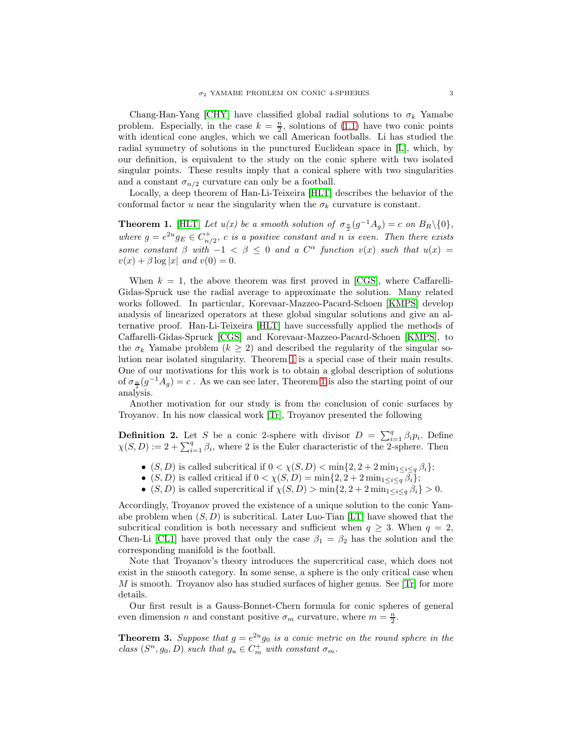Chang-Han-Yang [\[CHY\]](#page-17-4) have classified global radial solutions to  $\sigma_k$  Yamabe problem. Especially, in the case  $k = \frac{n}{2}$ , solutions of [\(1.1\)](#page-0-0) have two conic points with identical cone angles, which we call American footballs. Li has studied the radial symmetry of solutions in the punctured Euclidean space in [\[L\]](#page-18-9), which, by our definition, is equivalent to the study on the conic sphere with two isolated singular points. These results imply that a conical sphere with two singularities and a constant  $\sigma_{n/2}$  curvature can only be a football.

Locally, a deep theorem of Han-Li-Teixeira [\[HLT\]](#page-18-17) describes the behavior of the conformal factor u near the singularity when the  $\sigma_k$  curvature is constant.

<span id="page-2-0"></span>**Theorem 1.** [\[HLT\]](#page-18-17) Let  $u(x)$  be a smooth solution of  $\sigma_{\frac{n}{2}}(g^{-1}A_g) = c$  on  $B_R \setminus \{0\},$ where  $g = e^{2u} g_E \in C_{n/2}^+$ , c is a positive constant and n is even. Then there exists some constant  $\beta$  with  $-1 < \beta \leq 0$  and a  $C^{\alpha}$  function  $v(x)$  such that  $u(x) =$  $v(x) + \beta \log |x|$  and  $v(0) = 0$ .

When  $k = 1$ , the above theorem was first proved in [\[CGS\]](#page-17-14), where Caffarelli-Gidas-Spruck use the radial average to approximate the solution. Many related works followed. In particular, Korevaar-Mazzeo-Pacard-Schoen [\[KMPS\]](#page-18-18) develop analysis of linearized operators at these global singular solutions and give an alternative proof. Han-Li-Teixeira [\[HLT\]](#page-18-17) have successfully applied the methods of Caffarelli-Gidas-Spruck [\[CGS\]](#page-17-14) and Korevaar-Mazzeo-Pacard-Schoen [\[KMPS\]](#page-18-18), to the  $\sigma_k$  Yamabe problem  $(k \geq 2)$  and described the regularity of the singular solution near isolated singularity. Theorem [1](#page-2-0) is a special case of their main results. One of our motivations for this work is to obtain a global description of solutions of  $\sigma_{\frac{n}{2}}(g^{-1}A_g) = c$ . As we can see later, Theorem [1](#page-2-0) is also the starting point of our analysis.

Another motivation for our study is from the conclusion of conic surfaces by Troyanov. In his now classical work [\[Tr\]](#page-18-19), Troyanov presented the following

<span id="page-2-1"></span>**Definition 2.** Let S be a conic 2-sphere with divisor  $D = \sum_{i=1}^{q} \beta_i p_i$ . Define  $\chi(S, D) := 2 + \sum_{i=1}^{q} \beta_i$ , where 2 is the Euler characteristic of the 2-sphere. Then

- (S, D) is called subcritical if  $0 < \chi(S, D) < \min\{2, 2 + 2\min_{1 \le i \le q} \beta_i\};$
- $(S, D)$  is called critical if  $0 < \chi(S, D) = \min\{2, 2 + 2\min_{1 \leq i \leq q} \overline{\beta_i}\};$
- $(S, D)$  is called supercritical if  $\chi(S, D) > \min\{2, 2 + 2\min_{1 \leq i \leq q} \beta_i\} > 0$ .

Accordingly, Troyanov proved the existence of a unique solution to the conic Yamabe problem when  $(S, D)$  is subcritical. Later Luo-Tian [\[LT\]](#page-18-20) have showed that the subcritical condition is both necessary and sufficient when  $q \geq 3$ . When  $q = 2$ , Chen-Li [\[CL1\]](#page-17-15) have proved that only the case  $\beta_1 = \beta_2$  has the solution and the corresponding manifold is the football.

Note that Troyanov's theory introduces the supercritical case, which does not exist in the smooth category. In some sense, a sphere is the only critical case when M is smooth. Troyanov also has studied surfaces of higher genus. See [\[Tr\]](#page-18-19) for more details.

Our first result is a Gauss-Bonnet-Chern formula for conic spheres of general even dimension *n* and constant positive  $\sigma_m$  curvature, where  $m = \frac{n}{2}$ .

**Theorem 3.** Suppose that  $g = e^{2u}g_0$  is a conic metric on the round sphere in the class  $(S^n, g_0, D)$  such that  $g_u \in C_m^+$  with constant  $\sigma_m$ .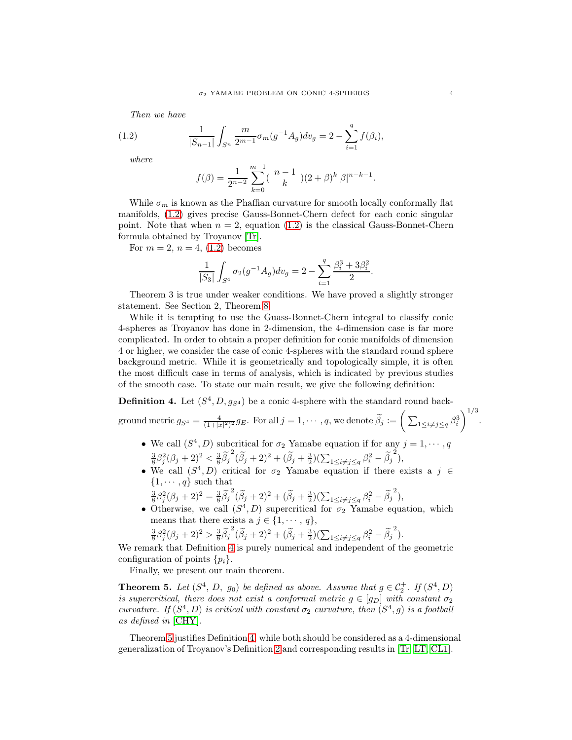Then we have

(1.2) 
$$
\frac{1}{|S_{n-1}|} \int_{S^n} \frac{m}{2^{m-1}} \sigma_m(g^{-1}A_g) dv_g = 2 - \sum_{i=1}^q f(\beta_i),
$$

where

<span id="page-3-0"></span>
$$
f(\beta) = \frac{1}{2^{n-2}} \sum_{k=0}^{m-1} {n-1 \choose k} (2+\beta)^k |\beta|^{n-k-1}.
$$

While  $\sigma_m$  is known as the Phaffian curvature for smooth locally conformally flat manifolds, [\(1.2\)](#page-3-0) gives precise Gauss-Bonnet-Chern defect for each conic singular point. Note that when  $n = 2$ , equation [\(1.2\)](#page-3-0) is the classical Gauss-Bonnet-Chern formula obtained by Troyanov [\[Tr\]](#page-18-19).

For  $m = 2$ ,  $n = 4$ , [\(1.2\)](#page-3-0) becomes

$$
\frac{1}{|S_3|}\int_{S^4}\sigma_2(g^{-1}A_g)dv_g=2-\sum_{i=1}^q\frac{\beta_i^3+3\beta_i^2}{2}.
$$

Theorem 3 is true under weaker conditions. We have proved a slightly stronger statement. See Section 2, Theorem [8.](#page-7-0)

While it is tempting to use the Guass-Bonnet-Chern integral to classify conic 4-spheres as Troyanov has done in 2-dimension, the 4-dimension case is far more complicated. In order to obtain a proper definition for conic manifolds of dimension 4 or higher, we consider the case of conic 4-spheres with the standard round sphere background metric. While it is geometrically and topologically simple, it is often the most difficult case in terms of analysis, which is indicated by previous studies of the smooth case. To state our main result, we give the following definition:

<span id="page-3-1"></span>**Definition 4.** Let  $(S^4, D, g_{S^4})$  be a conic 4-sphere with the standard round background metric  $g_{S^4} = \frac{4}{(1+|x|^2)^2} g_E$ . For all  $j = 1, \dots, q$ , we denote  $\widetilde{\beta}_j := \left( \sum_{1 \le i \ne j \le q} \beta_i^3 \right)$  $\setminus$ <sup>1/3</sup>

- We call  $(S^4, D)$  subcritical for  $\sigma_2$  Yamabe equation if for any  $j = 1, \dots, q$  $\frac{3}{8}\beta_j^2(\beta_j+2)^2 < \frac{3}{8}\tilde{\beta_j}^2(\tilde{\beta_j}+2)^2 + (\tilde{\beta_j}+\frac{3}{2})(\sum_{1 \leq i \neq j \leq q} \beta_i^2 - {\tilde{\beta_j}}^2),$
- We call  $(S^4, D)$  critical for  $\sigma_2$  Yamabe equation if there exists a  $j \in$  $\{1, \cdots, q\}$  such that
- $\frac{3}{8}\beta_j^2(\beta_j+2)^2 = \frac{3}{8}\tilde{\beta}_j^2(\tilde{\beta}_j+2)^2 + (\tilde{\beta}_j+\frac{3}{2})(\sum_{1 \leq i \neq j \leq q} \beta_i^2 \tilde{\beta}_j^2),$
- Otherwise, we call  $(S^4, D)$  supercritical for  $\sigma_2$  Yamabe equation, which means that there exists a  $j \in \{1, \dots, q\},\$

$$
\frac{3}{8}\beta_j^2(\beta_j+2)^2 > \frac{3}{8}\widetilde{\beta}_j^2(\widetilde{\beta}_j+2)^2 + (\widetilde{\beta}_j+\frac{3}{2})(\sum_{1\leq i\neq j\leq q}\beta_i^2-\widetilde{\beta}_j^2).
$$

We remark that Definition [4](#page-3-1) is purely numerical and independent of the geometric configuration of points  $\{p_i\}.$ 

Finally, we present our main theorem.

<span id="page-3-2"></span>**Theorem 5.** Let  $(S^4, D, g_0)$  be defined as above. Assume that  $g \in C_2^+$ . If  $(S^4, D)$ is supercritical, there does not exist a conformal metric  $g \in [g_D]$  with constant  $\sigma_2$ curvature. If  $(S^4, D)$  is critical with constant  $\sigma_2$  curvature, then  $(S^4, g)$  is a football as defined in [\[CHY\]](#page-17-4).

Theorem [5](#page-3-2) justifies Definition [4,](#page-3-1) while both should be considered as a 4-dimensional generalization of Troyanov's Definition [2](#page-2-1) and corresponding results in [\[Tr,](#page-18-19) [LT,](#page-18-20) [CL1\]](#page-17-15).

.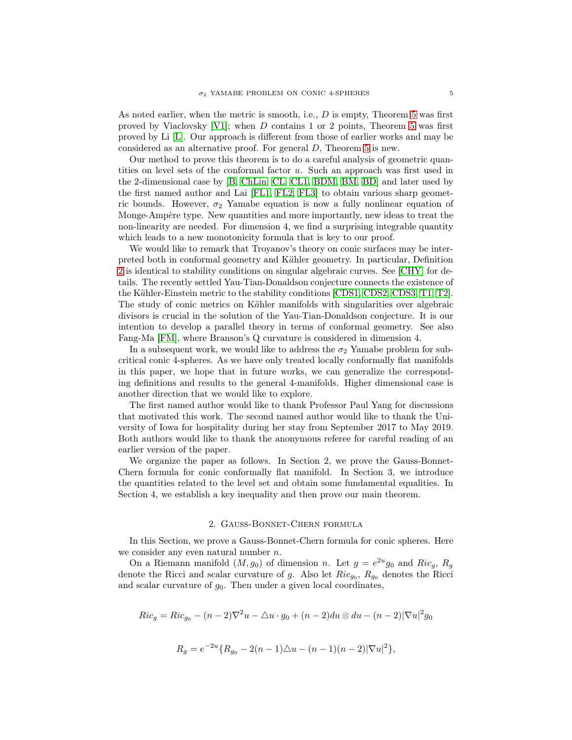As noted earlier, when the metric is smooth, i.e., D is empty, Theorem [5](#page-3-2) was first proved by Viaclovsky [\[V1\]](#page-19-2); when D contains 1 or 2 points, Theorem [5](#page-3-2) was first proved by Li [\[L\]](#page-18-9). Our approach is different from those of earlier works and may be considered as an alternative proof. For general D, Theorem [5](#page-3-2) is new.

Our method to prove this theorem is to do a careful analysis of geometric quantities on level sets of the conformal factor  $u$ . Such an approach was first used in the 2-dimensional case by [\[B,](#page-16-1) [ChLin,](#page-17-16) [CL,](#page-17-17) [CL1,](#page-17-15) [BDM,](#page-16-2) [BM,](#page-17-18) [BD\]](#page-16-3) and later used by the first named author and Lai [\[FL1,](#page-17-19) [FL2,](#page-17-20) [FL3\]](#page-17-21) to obtain various sharp geometric bounds. However,  $\sigma_2$  Yamabe equation is now a fully nonlinear equation of Monge-Ampère type. New quantities and more importantly, new ideas to treat the non-linearity are needed. For dimension 4, we find a surprising integrable quantity which leads to a new monotonicity formula that is key to our proof.

We would like to remark that Troyanov's theory on conic surfaces may be interpreted both in conformal geometry and Kähler geometry. In particular, Definition [2](#page-2-1) is identical to stability conditions on singular algebraic curves. See [\[CHY\]](#page-17-4) for details. The recently settled Yau-Tian-Donaldson conjecture connects the existence of the Kähler-Einstein metric to the stability conditions [\[CDS1,](#page-17-22) [CDS2,](#page-17-23) [CDS3,](#page-17-24) [T1,](#page-18-21) [T2\]](#page-18-22). The study of conic metrics on Kähler manifolds with singularities over algebraic divisors is crucial in the solution of the Yau-Tian-Donaldson conjecture. It is our intention to develop a parallel theory in terms of conformal geometry. See also Fang-Ma [\[FM\]](#page-17-25), where Branson's Q curvature is considered in dimension 4.

In a subsequent work, we would like to address the  $\sigma_2$  Yamabe problem for subcritical conic 4-spheres. As we have only treated locally conformally flat manifolds in this paper, we hope that in future works, we can generalize the corresponding definitions and results to the general 4-manifolds. Higher dimensional case is another direction that we would like to explore.

The first named author would like to thank Professor Paul Yang for discussions that motivated this work. The second named author would like to thank the University of Iowa for hospitality during her stay from September 2017 to May 2019. Both authors would like to thank the anonymous referee for careful reading of an earlier version of the paper.

We organize the paper as follows. In Section 2, we prove the Gauss-Bonnet-Chern formula for conic conformally flat manifold. In Section 3, we introduce the quantities related to the level set and obtain some fundamental equalities. In Section 4, we establish a key inequality and then prove our main theorem.

# 2. Gauss-Bonnet-Chern formula

In this Section, we prove a Gauss-Bonnet-Chern formula for conic spheres. Here we consider any even natural number n.

On a Riemann manifold  $(M, g_0)$  of dimension n. Let  $g = e^{2u} g_0$  and  $Ric_g$ ,  $R_g$ denote the Ricci and scalar curvature of g. Also let  $Ric_{g_0}$ ,  $R_{g_0}$  denotes the Ricci and scalar curvature of  $g_0$ . Then under a given local coordinates,

$$
Ric_g = Ric_{g_0} - (n-2)\nabla^2 u - \triangle u \cdot g_0 + (n-2)du \otimes du - (n-2)|\nabla u|^2 g_0
$$

 $R_g = e^{-2u} \{ R_{g_0} - 2(n-1)\Delta u - (n-1)(n-2) |\nabla u|^2 \},\,$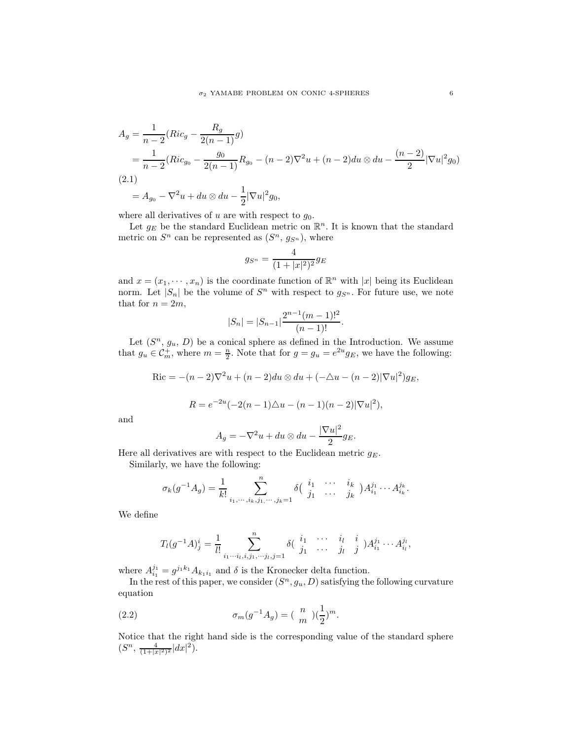$$
A_g = \frac{1}{n-2} (Ric_g - \frac{R_g}{2(n-1)}g)
$$
  
=  $\frac{1}{n-2} (Ric_{g_0} - \frac{g_0}{2(n-1)}R_{g_0} - (n-2)\nabla^2 u + (n-2)du \otimes du - \frac{(n-2)}{2}|\nabla u|^2 g_0)$   
(2.1)  
=  $A_{g_0} - \nabla^2 u + du \otimes du - \frac{1}{2}|\nabla u|^2 g_0,$ 

<span id="page-5-1"></span>where all derivatives of  $u$  are with respect to  $g_0$ .

Let  $g_E$  be the standard Euclidean metric on  $\mathbb{R}^n$ . It is known that the standard metric on  $S<sup>n</sup>$  can be represented as  $(S<sup>n</sup>, g<sub>S<sup>n</sup></sub>)$ , where

$$
g_{S^n} = \frac{4}{(1+|x|^2)^2} g_E
$$

and  $x = (x_1, \dots, x_n)$  is the coordinate function of  $\mathbb{R}^n$  with  $|x|$  being its Euclidean norm. Let  $|S_n|$  be the volume of  $S^n$  with respect to  $g_{S^n}$ . For future use, we note that for  $n = 2m$ ,

$$
|S_n| = |S_{n-1}| \frac{2^{n-1}(m-1)!^2}{(n-1)!}.
$$

Let  $(S<sup>n</sup>, g<sub>u</sub>, D)$  be a conical sphere as defined in the Introduction. We assume that  $g_u \in \mathcal{C}_m^+$ , where  $m = \frac{n}{2}$ . Note that for  $g = g_u = e^{2u} g_E$ , we have the following:

$$
\text{Ric} = -(n-2)\nabla^2 u + (n-2)du \otimes du + (-\triangle u - (n-2)|\nabla u|^2)g_E,
$$

$$
R = e^{-2u}(-2(n-1)\Delta u - (n-1)(n-2)|\nabla u|^2),
$$

and

$$
A_g = -\nabla^2 u + du \otimes du - \frac{|\nabla u|^2}{2} g_E.
$$

Here all derivatives are with respect to the Euclidean metric  $g_E$ .

Similarly, we have the following:

$$
\sigma_k(g^{-1}A_g) = \frac{1}{k!} \sum_{i_1, \dots, i_k, j_1, \dots, j_k = 1}^n \delta\left(\begin{array}{cccc} i_1 & \cdots & i_k \\ j_1 & \cdots & j_k \end{array}\right) A_{i_1}^{j_1} \cdots A_{i_k}^{j_k}.
$$

We define

<span id="page-5-0"></span>
$$
T_l(g^{-1}A)^i_j = \frac{1}{l!} \sum_{i_1 \cdots i_l, i, j_1, \cdots j_l, j=1}^n \delta\left(\begin{array}{cccc} i_1 & \cdots & i_l & i \\ j_1 & \cdots & j_l & j \end{array}\right) A^{j_1}_{i_1} \cdots A^{j_l}_{i_l},
$$

where  $A_{i_1}^{j_1} = g^{j_1 k_1} A_{k_1 i_1}$  and  $\delta$  is the Kronecker delta function.

In the rest of this paper, we consider  $(S<sup>n</sup>, g<sub>u</sub>, D)$  satisfying the following curvature equation

(2.2) 
$$
\sigma_m(g^{-1}A_g) = (\begin{array}{c} n \\ m \end{array})(\frac{1}{2})^m.
$$

Notice that the right hand side is the corresponding value of the standard sphere  $(S^n, \frac{4}{(1+|x|^2)^2}|dx|^2).$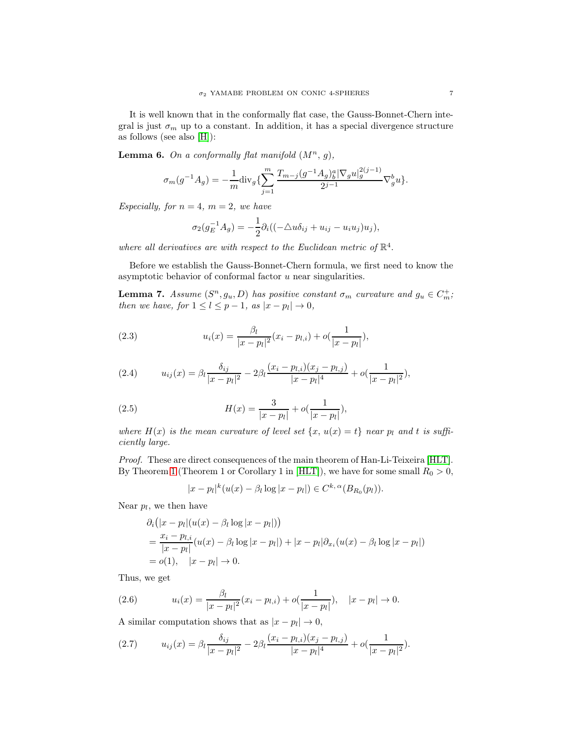It is well known that in the conformally flat case, the Gauss-Bonnet-Chern integral is just  $\sigma_m$  up to a constant. In addition, it has a special divergence structure as follows (see also [\[H\]](#page-18-23)):

<span id="page-6-3"></span>**Lemma 6.** On a conformally flat manifold  $(M^n, g)$ ,

$$
\sigma_m(g^{-1}A_g) = -\frac{1}{m} \text{div}_g \{ \sum_{j=1}^m \frac{T_{m-j}(g^{-1}A_g)_b^a |\nabla_g u|_g^{2(j-1)}}{2^{j-1}} \nabla_g^b u \}.
$$

Especially, for  $n = 4$ ,  $m = 2$ , we have

$$
\sigma_2(g_E^{-1}A_g) = -\frac{1}{2}\partial_i((-\triangle u\delta_{ij} + u_{ij} - u_iu_j)u_j),
$$

where all derivatives are with respect to the Euclidean metric of  $\mathbb{R}^4$ .

Before we establish the Gauss-Bonnet-Chern formula, we first need to know the asymptotic behavior of conformal factor  $u$  near singularities.

<span id="page-6-4"></span>**Lemma 7.** Assume  $(S^n, g_u, D)$  has positive constant  $\sigma_m$  curvature and  $g_u \in C_m^+$ ; then we have, for  $1 \leq l \leq p-1$ , as  $|x-p_l| \to 0$ ,

<span id="page-6-0"></span>(2.3) 
$$
u_i(x) = \frac{\beta_l}{|x - p_l|^2} (x_i - p_{l,i}) + o(\frac{1}{|x - p_l|}),
$$

<span id="page-6-1"></span>(2.4) 
$$
u_{ij}(x) = \beta_l \frac{\delta_{ij}}{|x - p_l|^2} - 2\beta_l \frac{(x_i - p_{l,i})(x_j - p_{l,j})}{|x - p_l|^4} + o(\frac{1}{|x - p_l|^2}),
$$

<span id="page-6-2"></span>(2.5) 
$$
H(x) = \frac{3}{|x - p_l|} + o(\frac{1}{|x - p_l|}),
$$

where  $H(x)$  is the mean curvature of level set  $\{x, u(x) = t\}$  near  $p_l$  and t is sufficiently large.

Proof. These are direct consequences of the main theorem of Han-Li-Teixeira [\[HLT\]](#page-18-17). By Theorem [1](#page-2-0) (Theorem 1 or Corollary 1 in [\[HLT\]](#page-18-17)), we have for some small  $R_0 > 0$ ,

$$
|x-p_l|^k(u(x)-\beta_l\log|x-p_l|)\in C^{k,\alpha}(B_{R_0}(p_l)).
$$

Near  $p_l$ , we then have

$$
\partial_i (|x - p_l|(u(x) - \beta_l \log |x - p_l|))
$$
  
=  $\frac{x_i - p_{l,i}}{|x - p_l|} (u(x) - \beta_l \log |x - p_l|) + |x - p_l| \partial_{x_i} (u(x) - \beta_l \log |x - p_l|)$   
=  $o(1), |x - p_l| \to 0.$ 

Thus, we get

(2.6) 
$$
u_i(x) = \frac{\beta_l}{|x - p_l|^2} (x_i - p_{l,i}) + o(\frac{1}{|x - p_l|}), \quad |x - p_l| \to 0.
$$

A similar computation shows that as  $|x - p_l| \to 0$ ,

$$
(2.7) \t u_{ij}(x) = \beta_l \frac{\delta_{ij}}{|x - p_l|^2} - 2\beta_l \frac{(x_i - p_{l,i})(x_j - p_{l,j})}{|x - p_l|^4} + o\left(\frac{1}{|x - p_l|^2}\right).
$$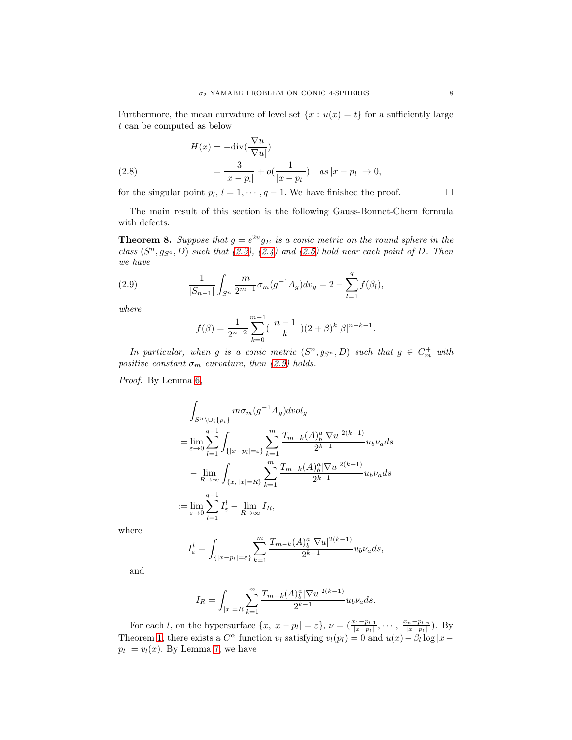Furthermore, the mean curvature of level set  $\{x : u(x) = t\}$  for a sufficiently large t can be computed as below

(2.8) 
$$
H(x) = -\text{div}\left(\frac{\nabla u}{|\nabla u|}\right)
$$

$$
= \frac{3}{|x - p_l|} + o\left(\frac{1}{|x - p_l|}\right) \quad as \, |x - p_l| \to 0,
$$

for the singular point  $p_l$ ,  $l = 1, \dots, q-1$ . We have finished the proof.

The main result of this section is the following Gauss-Bonnet-Chern formula with defects.

<span id="page-7-0"></span>**Theorem 8.** Suppose that  $g = e^{2u}g_E$  is a conic metric on the round sphere in the class  $(S<sup>n</sup>, g<sub>S<sup>4</sup></sub>, D)$  such that  $(2.3), (2.4)$  $(2.3), (2.4)$  and  $(2.5)$  hold near each point of D. Then we have

(2.9) 
$$
\frac{1}{|S_{n-1}|} \int_{S^n} \frac{m}{2^{m-1}} \sigma_m(g^{-1}A_g) dv_g = 2 - \sum_{l=1}^q f(\beta_l),
$$

where

<span id="page-7-1"></span>
$$
f(\beta) = \frac{1}{2^{n-2}} \sum_{k=0}^{m-1} {n-1 \choose k} (2+\beta)^k |\beta|^{n-k-1}.
$$

In particular, when g is a conic metric  $(S<sup>n</sup>, g<sub>S<sup>n</sup></sub>, D)$  such that  $g \in C<sup>+</sup><sub>m</sub>$  with positive constant  $\sigma_m$  curvature, then [\(2.9\)](#page-7-1) holds.

Proof. By Lemma [6,](#page-6-3)

$$
\int_{S^n \setminus \bigcup_i \{p_i\}} m \sigma_m(g^{-1} A_g) dvol_g
$$
\n
$$
= \lim_{\varepsilon \to 0} \sum_{l=1}^{q-1} \int_{\{|x - p_l| = \varepsilon\}} \sum_{k=1}^m \frac{T_{m-k}(A)^a_b |\nabla u|^{2(k-1)}}{2^{k-1}} u_b \nu_a ds
$$
\n
$$
- \lim_{R \to \infty} \int_{\{x, |x| = R\}} \sum_{k=1}^m \frac{T_{m-k}(A)^a_b |\nabla u|^{2(k-1)}}{2^{k-1}} u_b \nu_a ds
$$
\n
$$
:= \lim_{\varepsilon \to 0} \sum_{l=1}^{q-1} I^l_{\varepsilon} - \lim_{R \to \infty} I_R,
$$

where

$$
I_{\varepsilon}^l = \int_{\{|x-p_l|=\varepsilon\}} \sum_{k=1}^m \frac{T_{m-k}(A)^a_b |\nabla u|^{2(k-1)}}{2^{k-1}} u_b \nu_a ds,
$$

and

$$
I_R=\int_{|x|=R}\sum_{k=1}^m\frac{T_{m-k}(A)^a_b|\nabla u|^{2(k-1)}}{2^{k-1}}u_b\nu_a ds.
$$

For each *l*, on the hypersurface  $\{x, |x-p_l| = \varepsilon\}, \nu = \left(\frac{x_1-p_{l,1}}{|x-p_l|}, \cdots, \frac{x_n-p_{l,n}}{|x-p_l|}\right)$  $\frac{(-p_l)^n}{|x-p_l|}$ ). By Theorem [1,](#page-2-0) there exists a  $C^{\alpha}$  function  $v_l$  satisfying  $v_l(p_l) = 0$  and  $u(x) - \beta_l \log |x - \beta_l|$  $p_l| = v_l(x)$ . By Lemma [7,](#page-6-4) we have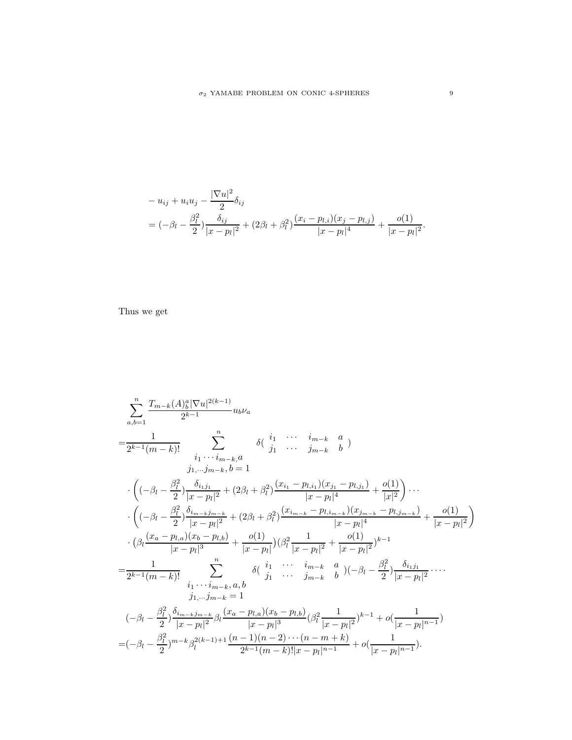$$
-u_{ij} + u_i u_j - \frac{|\nabla u|^2}{2} \delta_{ij}
$$
  
=  $(-\beta_l - \frac{\beta_l^2}{2}) \frac{\delta_{ij}}{|x - p_l|^2} + (2\beta_l + \beta_l^2) \frac{(x_i - p_{l,i})(x_j - p_{l,j})}{|x - p_l|^4} + \frac{o(1)}{|x - p_l|^2}.$ 

Thus we get

$$
\sum_{a,b=1}^{n} \frac{T_{m-k}(A)^a_b|\nabla u|^{2(k-1)}}{2^{k-1}} u_b \nu_a
$$
\n
$$
= \frac{1}{2^{k-1}(m-k)!} \sum_{\substack{i_1, \dots, i_{m-k}, a \\ j_1, \dots, j_{m-k}, b = 1}}^{n} \delta\left(\begin{array}{cccc} i_1 & \dots & i_{m-k} & a \\ j_1 & \dots & j_{m-k} & b \end{array}\right)
$$
\n
$$
\cdot \left( (-\beta_l - \frac{\beta_l^2}{2}) \frac{\delta_{i_1 j_1}}{|x - p_l|^2} + (2\beta_l + \beta_l^2) \frac{(x_{i_1} - p_{l,i_1})(x_{j_1} - p_{l,j_1})}{|x - p_l|^4} + \frac{o(1)}{|x|^2} \right) \cdots
$$
\n
$$
\cdot \left( (-\beta_l - \frac{\beta_l^2}{2}) \frac{\delta_{i_{m-k} j_{m-k}}}{|x - p_l|^2} + (2\beta_l + \beta_l^2) \frac{(x_{i_{m-k}} - p_{l,i_{m-k}})(x_{j_{m-k}} - p_{l,j_{m-k}})}{|x - p_l|^4} + \frac{o(1)}{|x - p_l|^2} \right)
$$
\n
$$
\cdot \left( \beta_l \frac{(x_a - p_{l,a})(x_b - p_{l,b})}{|x - p_l|^3} + \frac{o(1)}{|x - p_l|^2} \right) (\beta_l^2 \frac{1}{|x - p_l|^2} + \frac{o(1)}{|x - p_l|^2})^{k-1}
$$
\n
$$
= \frac{1}{2^{k-1}(m-k)!} \sum_{\substack{i_1, \dots, i_{m-k}, a, b \\ j_1, \dots, j_{m-k} = 1}}^{n} \delta\left(\begin{array}{cccc} i_1 & \dots & i_{m-k} & a \\ j_1 & \dots & j_{m-k} & b \end{array}\right) (-\beta_l - \frac{\beta_l^2}{2}) \frac{\delta_{i_1 j_1}}{|x - p_l|^2} \cdots
$$
\n
$$
= (-\beta_l - \frac{\beta_l^2}{2}) \frac{\delta_{i_{m-k} j_{m-k}}}{|x - p_l|^2} \beta_l \frac{(x_a - p_{l,a})(x_b - p_{l,b})}{|x - p_l|^3} (\beta_l^2 \frac{1}{|x - p_l|^2})^{k-
$$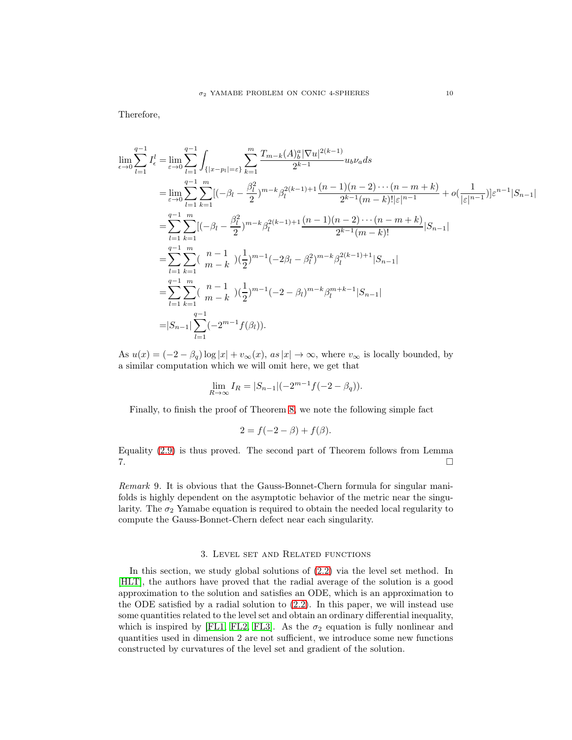Therefore,

$$
\lim_{\epsilon \to 0} \sum_{l=1}^{q-1} I_{\epsilon}^{l} = \lim_{\epsilon \to 0} \sum_{l=1}^{q-1} \int_{\{|x-p_l|=\epsilon\}} \sum_{k=1}^{m} \frac{T_{m-k}(A)_{b}^{a} |\nabla u|^{2(k-1)}}{2^{k-1}} u_{b} \nu_{a} ds
$$
\n
$$
= \lim_{\epsilon \to 0} \sum_{l=1}^{q-1} \sum_{k=1}^{m} [(-\beta_{l} - \frac{\beta_{l}^{2}}{2})^{m-k} \beta_{l}^{2(k-1)+1} \frac{(n-1)(n-2)\cdots(n-m+k)}{2^{k-1}(m-k)!|\epsilon|^{n-1}} + o(\frac{1}{|\epsilon|^{n-1}})|\epsilon^{n-1}|S_{n-1}|
$$
\n
$$
= \sum_{l=1}^{q-1} \sum_{k=1}^{m} [(-\beta_{l} - \frac{\beta_{l}^{2}}{2})^{m-k} \beta_{l}^{2(k-1)+1} \frac{(n-1)(n-2)\cdots(n-m+k)}{2^{k-1}(m-k)!}|S_{n-1}|
$$
\n
$$
= \sum_{l=1}^{q-1} \sum_{k=1}^{m} \binom{n-1}{m-k} (\frac{1}{2})^{m-1} (-2\beta_{l} - \beta_{l}^{2})^{m-k} \beta_{l}^{2(k-1)+1}|S_{n-1}|
$$
\n
$$
= \sum_{l=1}^{q-1} \sum_{k=1}^{m} \binom{n-1}{m-k} (\frac{1}{2})^{m-1} (-2-\beta_{l})^{m-k} \beta_{l}^{m+k-1}|S_{n-1}|
$$
\n
$$
= |S_{n-1}| \sum_{l=1}^{q-1} (-2^{m-1}f(\beta_{l})).
$$

As  $u(x) = (-2 - \beta_q) \log |x| + v_\infty(x)$ , as  $|x| \to \infty$ , where  $v_\infty$  is locally bounded, by a similar computation which we will omit here, we get that

$$
\lim_{R \to \infty} I_R = |S_{n-1}|(-2^{m-1}f(-2 - \beta_q)).
$$

Finally, to finish the proof of Theorem [8,](#page-7-0) we note the following simple fact

$$
2 = f(-2 - \beta) + f(\beta).
$$

Equality [\(2.9\)](#page-7-1) is thus proved. The second part of Theorem follows from Lemma 7.

Remark 9. It is obvious that the Gauss-Bonnet-Chern formula for singular manifolds is highly dependent on the asymptotic behavior of the metric near the singularity. The  $\sigma_2$  Yamabe equation is required to obtain the needed local regularity to compute the Gauss-Bonnet-Chern defect near each singularity.

#### 3. Level set and Related functions

In this section, we study global solutions of [\(2.2\)](#page-5-0) via the level set method. In [\[HLT\]](#page-18-17), the authors have proved that the radial average of the solution is a good approximation to the solution and satisfies an ODE, which is an approximation to the ODE satisfied by a radial solution to [\(2.2\)](#page-5-0). In this paper, we will instead use some quantities related to the level set and obtain an ordinary differential inequality, which is inspired by [\[FL1,](#page-17-19) [FL2,](#page-17-20) [FL3\]](#page-17-21). As the  $\sigma_2$  equation is fully nonlinear and quantities used in dimension 2 are not sufficient, we introduce some new functions constructed by curvatures of the level set and gradient of the solution.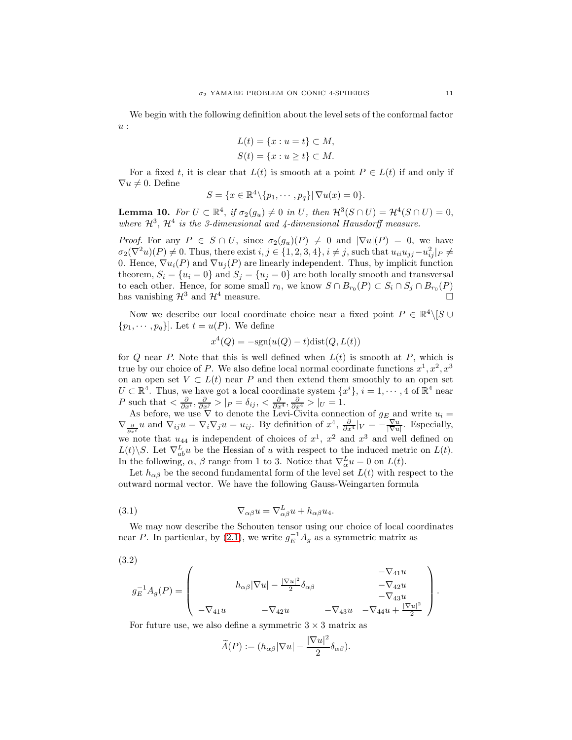We begin with the following definition about the level sets of the conformal factor u :

$$
L(t) = \{x : u = t\} \subset M,
$$
  

$$
S(t) = \{x : u \ge t\} \subset M.
$$

For a fixed t, it is clear that  $L(t)$  is smooth at a point  $P \in L(t)$  if and only if  $\nabla u \neq 0$ . Define

$$
S = \{x \in \mathbb{R}^4 \setminus \{p_1, \cdots, p_q\} | \nabla u(x) = 0\}.
$$

<span id="page-10-0"></span>**Lemma 10.** For  $U \subset \mathbb{R}^4$ , if  $\sigma_2(g_u) \neq 0$  in U, then  $\mathcal{H}^3(S \cap U) = \mathcal{H}^4(S \cap U) = 0$ , where  $\mathcal{H}^3$ ,  $\mathcal{H}^4$  is the 3-dimensional and 4-dimensional Hausdorff measure.

*Proof.* For any  $P \in S \cap U$ , since  $\sigma_2(g_u)(P) \neq 0$  and  $|\nabla u|(P) = 0$ , we have  $\sigma_2(\nabla^2 u)(P) \neq 0$ . Thus, there exist  $i, j \in \{1, 2, 3, 4\}, i \neq j$ , such that  $u_{ii}u_{jj} - u_{ij}^2|_P \neq$ 0. Hence,  $\nabla u_i(P)$  and  $\nabla u_j(P)$  are linearly independent. Thus, by implicit function theorem,  $S_i = \{u_i = 0\}$  and  $S_j = \{u_j = 0\}$  are both locally smooth and transversal to each other. Hence, for some small  $r_0$ , we know  $S \cap B_{r_0}(P) \subset S_i \cap S_j \cap B_{r_0}(P)$ has vanishing  $\mathcal{H}^3$  and  $\mathcal{H}^4$  measure.

Now we describe our local coordinate choice near a fixed point  $P \in \mathbb{R}^4 \setminus [S \cup$  $\{p_1, \cdots, p_q\}$ . Let  $t = u(P)$ . We define

$$
x^4(Q) = -\text{sgn}(u(Q) - t)\text{dist}(Q, L(t))
$$

for Q near P. Note that this is well defined when  $L(t)$  is smooth at P, which is true by our choice of P. We also define local normal coordinate functions  $x^1, x^2, x^3$ on an open set  $V \subset L(t)$  near P and then extend them smoothly to an open set  $U \subset \mathbb{R}^4$ . Thus, we have got a local coordinate system  $\{x^i\}, i = 1, \dots, 4$  of  $\mathbb{R}^4$  near P such that  $\langle \frac{\partial}{\partial x^i}, \frac{\partial}{\partial x^j} \rangle |_P = \delta_{ij}, \langle \frac{\partial}{\partial x^4}, \frac{\partial}{\partial x^4} \rangle |_U = 1.$ 

As before, we use  $\nabla$  to denote the Levi-Civita connection of  $g_E$  and write  $u_i =$  $\nabla_{\frac{\partial}{\partial x^i}} u$  and  $\nabla_{ij} u = \nabla_i \nabla_j u = u_{ij}$ . By definition of  $x^4$ ,  $\frac{\partial}{\partial x^4} |_V = -\frac{\nabla u}{|\nabla u|}$ . Especially, we note that  $u_{44}$  is independent of choices of  $x^1$ ,  $x^2$  and  $x^3$  and well defined on  $L(t)\backslash S$ . Let  $\nabla_{ab}^L u$  be the Hessian of u with respect to the induced metric on  $L(t)$ . In the following,  $\alpha$ ,  $\beta$  range from 1 to 3. Notice that  $\nabla_{\alpha}^{L} u = 0$  on  $L(t)$ .

Let  $h_{\alpha\beta}$  be the second fundamental form of the level set  $L(t)$  with respect to the outward normal vector. We have the following Gauss-Weingarten formula

<span id="page-10-1"></span>(3.1) 
$$
\nabla_{\alpha\beta}u = \nabla^L_{\alpha\beta}u + h_{\alpha\beta}u_4.
$$

We may now describe the Schouten tensor using our choice of local coordinates near P. In particular, by [\(2.1\)](#page-5-1), we write  $g_E^{-1}A_g$  as a symmetric matrix as

$$
(3.2)
$$

<span id="page-10-2"></span>
$$
g_E^{-1}A_g(P) = \begin{pmatrix} -\nabla_{41}u & -\nabla_{42}u & -\nabla_{42}u & -\nabla_{42}u & -\nabla_{43}u & -\nabla_{43}u & -\nabla_{43}u & -\nabla_{44}u + \frac{|\nabla u|^2}{2} \end{pmatrix}.
$$

For future use, we also define a symmetric  $3 \times 3$  matrix as

$$
\widetilde{A}(P) := (h_{\alpha\beta}|\nabla u| - \frac{|\nabla u|^2}{2}\delta_{\alpha\beta}).
$$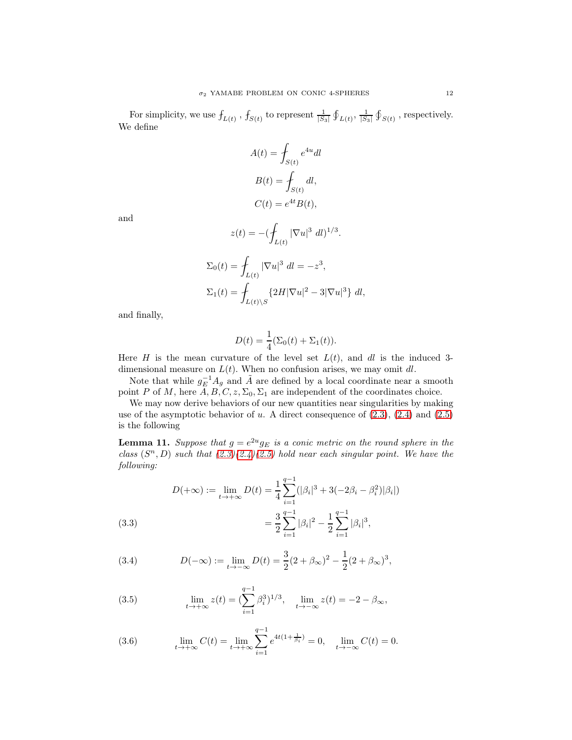For simplicity, we use  $f_{L(t)}$ ,  $f_{S(t)}$  to represent  $\frac{1}{|S_3|} \oint_{L(t)} \frac{1}{|S_3|} \oint_{S(t)}$ , respectively. We define

$$
A(t) = \int_{S(t)} e^{4u} dl
$$

$$
B(t) = \int_{S(t)} dl,
$$

$$
C(t) = e^{4t} B(t),
$$

and

$$
z(t) = -(\int_{L(t)} |\nabla u|^3 \ dt)^{1/3}.
$$
  

$$
\Sigma_0(t) = \int_{L(t)} |\nabla u|^3 \ dt = -z^3,
$$
  

$$
\Sigma_1(t) = \int_{L(t) \backslash S} \{2H |\nabla u|^2 - 3|\nabla u|^3\} \ dt,
$$

and finally,

$$
D(t) = \frac{1}{4} (\Sigma_0(t) + \Sigma_1(t)).
$$

Here H is the mean curvature of the level set  $L(t)$ , and dl is the induced 3dimensional measure on  $L(t)$ . When no confusion arises, we may omit dl.

Note that while  $g_E^{-1}A_g$  and  $\tilde{A}$  are defined by a local coordinate near a smooth point P of M, here  $A, B, C, z, \Sigma_0, \Sigma_1$  are independent of the coordinates choice.

We may now derive behaviors of our new quantities near singularities by making use of the asymptotic behavior of  $u$ . A direct consequence of  $(2.3)$ ,  $(2.4)$  and  $(2.5)$ is the following

**Lemma 11.** Suppose that  $g = e^{2u} g_E$  is a conic metric on the round sphere in the class  $(S<sup>n</sup>, D)$  such that  $(2.3)(2.4)(2.5)$  $(2.3)(2.4)(2.5)$  $(2.3)(2.4)(2.5)$  hold near each singular point. We have the following:

(3.3)  
\n
$$
D(+\infty) := \lim_{t \to +\infty} D(t) = \frac{1}{4} \sum_{i=1}^{q-1} (|\beta_i|^3 + 3(-2\beta_i - \beta_i^2)|\beta_i|)
$$
\n
$$
= \frac{3}{2} \sum_{i=1}^{q-1} |\beta_i|^2 - \frac{1}{2} \sum_{i=1}^{q-1} |\beta_i|^3,
$$

<span id="page-11-2"></span><span id="page-11-1"></span>(3.4) 
$$
D(-\infty) := \lim_{t \to -\infty} D(t) = \frac{3}{2}(2 + \beta_{\infty})^2 - \frac{1}{2}(2 + \beta_{\infty})^3,
$$

<span id="page-11-3"></span>(3.5) 
$$
\lim_{t \to +\infty} z(t) = (\sum_{i=1}^{q-1} \beta_i^3)^{1/3}, \quad \lim_{t \to -\infty} z(t) = -2 - \beta_{\infty},
$$

<span id="page-11-0"></span>(3.6) 
$$
\lim_{t \to +\infty} C(t) = \lim_{t \to +\infty} \sum_{i=1}^{q-1} e^{4t(1 + \frac{1}{\beta_i})} = 0, \quad \lim_{t \to -\infty} C(t) = 0.
$$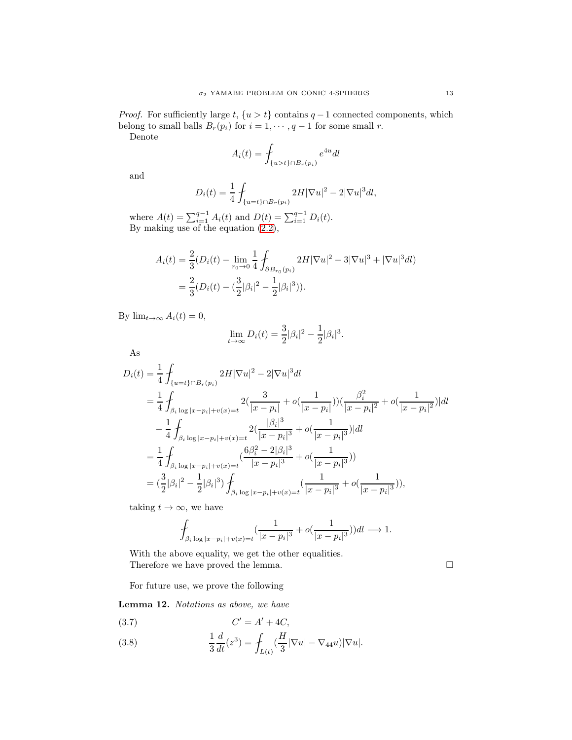*Proof.* For sufficiently large t,  $\{u > t\}$  contains  $q - 1$  connected components, which belong to small balls  $B_r(p_i)$  for  $i = 1, \dots, q-1$  for some small r.

Denote

$$
A_i(t) = \int_{\{u > t\} \cap B_r(p_i)} e^{4u} dl
$$

and

$$
D_i(t) = \frac{1}{4} \int_{\{u=t\} \cap B_r(p_i)} 2H |\nabla u|^2 - 2|\nabla u|^3 dl,
$$

where  $A(t) = \sum_{i=1}^{q-1} A_i(t)$  and  $D(t) = \sum_{i=1}^{q-1} D_i(t)$ . By making use of the equation [\(2.2\)](#page-5-0),

$$
A_i(t) = \frac{2}{3}(D_i(t) - \lim_{r_0 \to 0} \frac{1}{4} \int_{\partial B_{r_0}(p_i)} 2H|\nabla u|^2 - 3|\nabla u|^3 + |\nabla u|^3 dl)
$$
  
=  $\frac{2}{3}(D_i(t) - (\frac{3}{2}|\beta_i|^2 - \frac{1}{2}|\beta_i|^3)).$ 

By  $\lim_{t\to\infty} A_i(t) = 0$ ,

$$
\lim_{t \to \infty} D_i(t) = \frac{3}{2} |\beta_i|^2 - \frac{1}{2} |\beta_i|^3.
$$

As

$$
D_i(t) = \frac{1}{4} \int_{\{u=t\}\cap B_r(p_i)} 2H|\nabla u|^2 - 2|\nabla u|^3 dl
$$
  
\n
$$
= \frac{1}{4} \int_{\beta_i \log |x-p_i| + v(x)=t} 2(\frac{3}{|x-p_i|} + o(\frac{1}{|x-p_i|}))(\frac{\beta_i^2}{|x-p_i|^2} + o(\frac{1}{|x-p_i|^2})|dl
$$
  
\n
$$
- \frac{1}{4} \int_{\beta_i \log |x-p_i| + v(x)=t} 2(\frac{|\beta_i|^3}{|x-p_i|^3} + o(\frac{1}{|x-p_i|^3})|dl
$$
  
\n
$$
= \frac{1}{4} \int_{\beta_i \log |x-p_i| + v(x)=t} (\frac{6\beta_i^2 - 2|\beta_i|^3}{|x-p_i|^3} + o(\frac{1}{|x-p_i|^3}))
$$
  
\n
$$
= (\frac{3}{2}|\beta_i|^2 - \frac{1}{2}|\beta_i|^3) \int_{\beta_i \log |x-p_i| + v(x)=t} (\frac{1}{|x-p_i|^3} + o(\frac{1}{|x-p_i|^3})),
$$

taking  $t \to \infty$ , we have

$$
\int_{\beta_i \log |x - p_i| + v(x) = t} \left( \frac{1}{|x - p_i|^3} + o(\frac{1}{|x - p_i|^3}) \right) dl \longrightarrow 1.
$$

With the above equality, we get the other equalities. Therefore we have proved the lemma.  $\hfill \Box$ 

For future use, we prove the following

<span id="page-12-1"></span>Lemma 12. Notations as above, we have

$$
(3.7) \tC' = A' + 4C,
$$

<span id="page-12-0"></span>(3.8) 
$$
\frac{1}{3}\frac{d}{dt}(z^3) = \int_{L(t)} \left(\frac{H}{3}|\nabla u| - \nabla_{44}u\right)|\nabla u|.
$$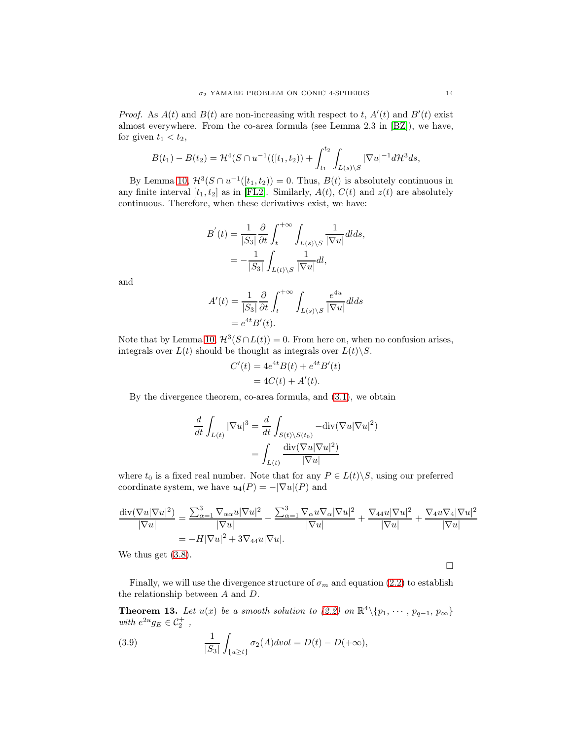*Proof.* As  $A(t)$  and  $B(t)$  are non-increasing with respect to t,  $A'(t)$  and  $B'(t)$  exist almost everywhere. From the co-area formula (see Lemma 2.3 in [\[BZ\]](#page-17-26)), we have, for given  $t_1 < t_2$ ,

$$
B(t_1) - B(t_2) = \mathcal{H}^4(S \cap u^{-1}(([t_1, t_2)) + \int_{t_1}^{t_2} \int_{L(s) \backslash S} |\nabla u|^{-1} d\mathcal{H}^3 ds,
$$

By Lemma [10,](#page-10-0)  $\mathcal{H}^3(S \cap u^{-1}([t_1, t_2)) = 0$ . Thus,  $B(t)$  is absolutely continuous in any finite interval  $[t_1, t_2]$  as in [\[FL2\]](#page-17-20). Similarly,  $A(t)$ ,  $C(t)$  and  $z(t)$  are absolutely continuous. Therefore, when these derivatives exist, we have:

$$
B'(t) = \frac{1}{|S_3|} \frac{\partial}{\partial t} \int_t^{+\infty} \int_{L(s)\backslash S} \frac{1}{|\nabla u|} dl ds,
$$
  
= 
$$
-\frac{1}{|S_3|} \int_{L(t)\backslash S} \frac{1}{|\nabla u|} dl,
$$

and

$$
A'(t) = \frac{1}{|S_3|} \frac{\partial}{\partial t} \int_t^{+\infty} \int_{L(s)\setminus S} \frac{e^{4u}}{|\nabla u|} dl ds
$$
  
=  $e^{4t} B'(t)$ .

Note that by Lemma [10,](#page-10-0)  $\mathcal{H}^3(S \cap L(t)) = 0$ . From here on, when no confusion arises, integrals over  $L(t)$  should be thought as integrals over  $L(t)\backslash S$ .

$$
C'(t) = 4e^{4t}B(t) + e^{4t}B'(t)
$$
  
= 4C(t) + A'(t).

By the divergence theorem, co-area formula, and [\(3.1\)](#page-10-1), we obtain

$$
\frac{d}{dt} \int_{L(t)} |\nabla u|^3 = \frac{d}{dt} \int_{S(t) \setminus S(t_0)} -\text{div}(\nabla u |\nabla u|^2)
$$

$$
= \int_{L(t)} \frac{\text{div}(\nabla u |\nabla u|^2)}{|\nabla u|}
$$

where  $t_0$  is a fixed real number. Note that for any  $P \in L(t) \backslash S$ , using our preferred coordinate system, we have  $u_4(P) = -|\nabla u|(P)$  and

$$
\frac{\operatorname{div}(\nabla u|\nabla u|^2)}{|\nabla u|} = \frac{\sum_{\alpha=1}^3 \nabla_{\alpha\alpha} u|\nabla u|^2}{|\nabla u|} - \frac{\sum_{\alpha=1}^3 \nabla_{\alpha} u \nabla_{\alpha} |\nabla u|^2}{|\nabla u|} + \frac{\nabla_{44} u|\nabla u|^2}{|\nabla u|} + \frac{\nabla_{4} u \nabla_{4} |\nabla u|^2}{|\nabla u|}
$$

$$
= -H|\nabla u|^2 + 3\nabla_{44} u|\nabla u|.
$$

We thus get  $(3.8)$ .

 $\Box$ 

Finally, we will use the divergence structure of  $\sigma_m$  and equation [\(2.2\)](#page-5-0) to establish the relationship between A and D.

**Theorem 13.** Let  $u(x)$  be a smooth solution to [\(2.2\)](#page-5-0) on  $\mathbb{R}^4 \setminus \{p_1, \dots, p_{q-1}, p_{\infty}\}\$ with  $e^{2u}g_E \in C_2^+$ ,

<span id="page-13-0"></span>(3.9) 
$$
\frac{1}{|S_3|} \int_{\{u \ge t\}} \sigma_2(A) dvol = D(t) - D(+\infty),
$$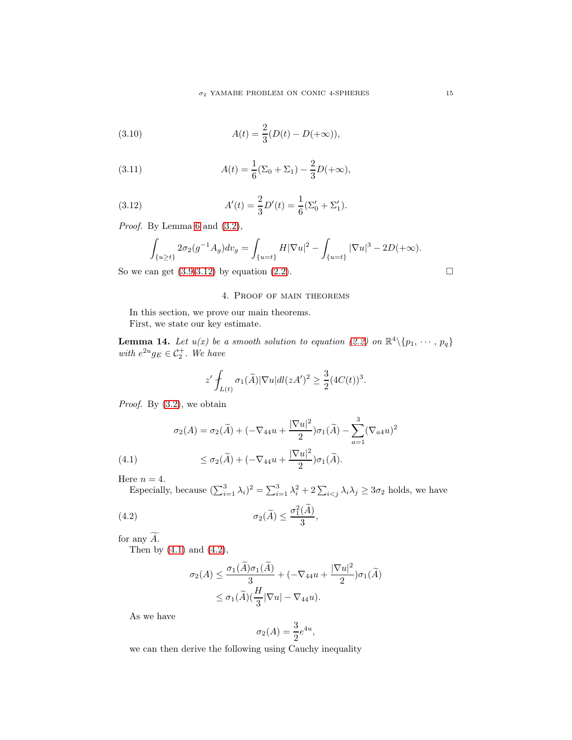(3.10) 
$$
A(t) = \frac{2}{3}(D(t) - D(+\infty)),
$$

(3.11) 
$$
A(t) = \frac{1}{6}(\Sigma_0 + \Sigma_1) - \frac{2}{3}D(+\infty),
$$

(3.12) 
$$
A'(t) = \frac{2}{3}D'(t) = \frac{1}{6}(\Sigma'_0 + \Sigma'_1).
$$

Proof. By Lemma [6](#page-6-3) and  $(3.2)$ ,

<span id="page-14-0"></span>
$$
\int_{\{u\geq t\}} 2\sigma_2(g^{-1}A_g)dv_g = \int_{\{u=t\}} H|\nabla u|^2 - \int_{\{u=t\}} |\nabla u|^3 - 2D(+\infty).
$$

So we can get  $(3.9-3.12)$  $(3.9-3.12)$  by equation  $(2.2)$ .

### 4. Proof of main theorems

In this section, we prove our main theorems. First, we state our key estimate.

<span id="page-14-3"></span>**Lemma 14.** Let  $u(x)$  be a smooth solution to equation [\(2.2\)](#page-5-0) on  $\mathbb{R}^4 \setminus \{p_1, \dots, p_q\}$ with  $e^{2u}g_E \in C_2^+$ . We have

$$
z'\int_{L(t)}\sigma_1(\widetilde{A})|\nabla u|dl(zA')^2\geq \frac{3}{2}(4C(t))^3.
$$

Proof. By [\(3.2\)](#page-10-2), we obtain

(4.1) 
$$
\sigma_2(A) = \sigma_2(\tilde{A}) + (-\nabla_{44}u + \frac{|\nabla u|^2}{2})\sigma_1(\tilde{A}) - \sum_{a=1}^3 (\nabla_{a4}u)^2
$$

$$
\leq \sigma_2(\tilde{A}) + (-\nabla_{44}u + \frac{|\nabla u|^2}{2})\sigma_1(\tilde{A}).
$$

<span id="page-14-1"></span>Here  $n = 4$ .

Especially, because  $(\sum_{i=1}^3 \lambda_i)^2 = \sum_{i=1}^3 \lambda_i^2 + 2 \sum_{i < j} \lambda_i \lambda_j \ge 3\sigma_2$  holds, we have

(4.2) 
$$
\sigma_2(\widetilde{A}) \leq \frac{\sigma_1^2(\widetilde{A})}{3},
$$

for any  $\widetilde{A.}$ 

Then by  $(4.1)$  and  $(4.2)$ ,

<span id="page-14-2"></span>
$$
\sigma_2(A) \le \frac{\sigma_1(\widetilde{A})\sigma_1(\widetilde{A})}{3} + (-\nabla_{44}u + \frac{|\nabla u|^2}{2})\sigma_1(\widetilde{A})
$$
  

$$
\le \sigma_1(\widetilde{A})(\frac{H}{3}|\nabla u| - \nabla_{44}u).
$$

As we have

$$
\sigma_2(A) = \frac{3}{2}e^{4u},
$$

we can then derive the following using Cauchy inequality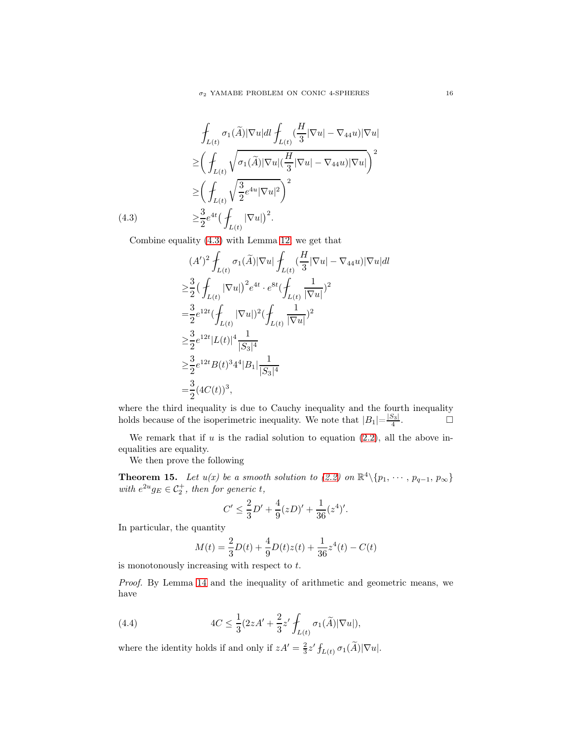$$
\oint_{L(t)} \sigma_1(\widetilde{A}) |\nabla u| dt \oint_{L(t)} \left(\frac{H}{3} |\nabla u| - \nabla_{44} u\right) |\nabla u|
$$
\n
$$
\geq \left(\oint_{L(t)} \sqrt{\sigma_1(\widetilde{A}) |\nabla u| \left(\frac{H}{3} |\nabla u| - \nabla_{44} u\right) |\nabla u|}\right)^2
$$
\n
$$
\geq \left(\oint_{L(t)} \sqrt{\frac{3}{2} e^{4u} |\nabla u|^2} \right)^2
$$
\n(4.3)\n
$$
\geq \frac{3}{2} e^{4t} \left(\oint_{L(t)} |\nabla u|\right)^2.
$$

<span id="page-15-0"></span>Combine equality [\(4.3\)](#page-15-0) with Lemma [12,](#page-12-1) we get that

$$
(A')^{2} \n\int_{L(t)} \sigma_{1}(\widetilde{A}) |\nabla u| \n\int_{L(t)} \left(\frac{H}{3} |\nabla u| - \nabla_{44} u\right) |\nabla u| dt
$$
\n
$$
\geq \frac{3}{2} \left( \int_{L(t)} |\nabla u| \right)^{2} e^{4t} \cdot e^{8t} \left( \int_{L(t)} \frac{1}{|\nabla u|} \right)^{2}
$$
\n
$$
= \frac{3}{2} e^{12t} \left( \int_{L(t)} |\nabla u| \right)^{2} \left( \int_{L(t)} \frac{1}{|\nabla u|} \right)^{2}
$$
\n
$$
\geq \frac{3}{2} e^{12t} |L(t)|^{4} \frac{1}{|S_{3}|^{4}}
$$
\n
$$
\geq \frac{3}{2} e^{12t} B(t)^{3} 4^{4} |B_{1}| \frac{1}{|S_{3}|^{4}}
$$
\n
$$
= \frac{3}{2} (4C(t))^{3},
$$

where the third inequality is due to Cauchy inequality and the fourth inequality holds because of the isoperimetric inequality. We note that  $|B_1| = \frac{|S_3|}{4}$  $\frac{S_3}{4}$ .

We remark that if  $u$  is the radial solution to equation  $(2.2)$ , all the above inequalities are equality.

We then prove the following

<span id="page-15-2"></span>**Theorem 15.** Let  $u(x)$  be a smooth solution to [\(2.2\)](#page-5-0) on  $\mathbb{R}^4 \setminus \{p_1, \dots, p_{q-1}, p_{\infty}\}\$ with  $e^{2u}g_E \in C_2^+$ , then for generic t,

$$
C' \le \frac{2}{3}D' + \frac{4}{9}(zD)' + \frac{1}{36}(z^4)'
$$

In particular, the quantity

$$
M(t) = \frac{2}{3}D(t) + \frac{4}{9}D(t)z(t) + \frac{1}{36}z^4(t) - C(t)
$$

is monotonously increasing with respect to  $t$ .

Proof. By Lemma [14](#page-14-3) and the inequality of arithmetic and geometric means, we have

<span id="page-15-1"></span>(4.4) 
$$
4C \leq \frac{1}{3}(2zA' + \frac{2}{3}z'\int_{L(t)}\sigma_1(\widetilde{A})|\nabla u|),
$$

where the identity holds if and only if  $zA' = \frac{2}{3}z' f_{L(t)} \sigma_1(\tilde{A}) |\nabla u|$ .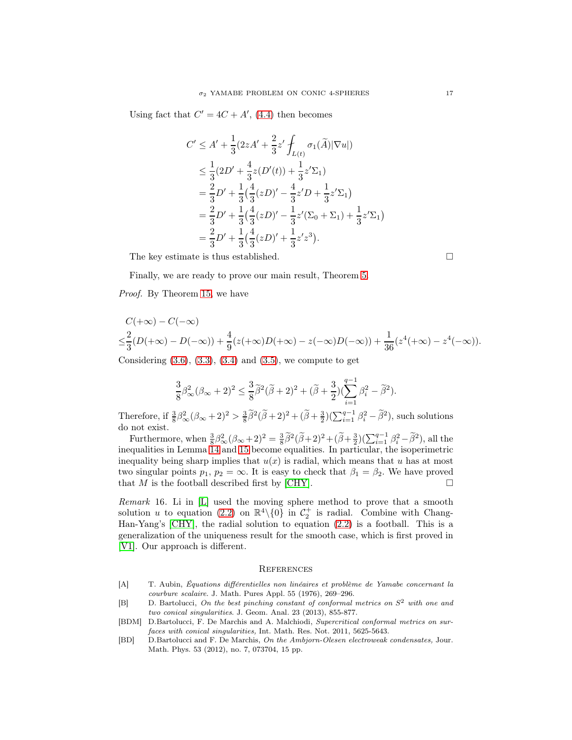Using fact that  $C' = 4C + A'$ , [\(4.4\)](#page-15-1) then becomes

$$
C' \le A' + \frac{1}{3} (2zA' + \frac{2}{3}z' \int_{L(t)} \sigma_1(\widetilde{A})|\nabla u|)
$$
  
\n
$$
\le \frac{1}{3} (2D' + \frac{4}{3}z(D'(t)) + \frac{1}{3}z'\Sigma_1)
$$
  
\n
$$
= \frac{2}{3}D' + \frac{1}{3} (\frac{4}{3}(zD)' - \frac{4}{3}z'D + \frac{1}{3}z'\Sigma_1)
$$
  
\n
$$
= \frac{2}{3}D' + \frac{1}{3} (\frac{4}{3}(zD)' - \frac{1}{3}z'(\Sigma_0 + \Sigma_1) + \frac{1}{3}z'\Sigma_1)
$$
  
\n
$$
= \frac{2}{3}D' + \frac{1}{3} (\frac{4}{3}(zD)' + \frac{1}{3}z'z^3).
$$

The key estimate is thus established.

Finally, we are ready to prove our main result, Theorem [5.](#page-3-2)

Proof. By Theorem [15,](#page-15-2) we have

$$
C(+\infty) - C(-\infty)
$$
  

$$
\leq \frac{2}{3}(D(+\infty) - D(-\infty)) + \frac{4}{9}(z(+\infty)D(+\infty) - z(-\infty)D(-\infty)) + \frac{1}{36}(z^4(+\infty) - z^4(-\infty)).
$$

Considering  $(3.6), (3.3), (3.4)$  $(3.6), (3.3), (3.4)$  $(3.6), (3.3), (3.4)$  $(3.6), (3.3), (3.4)$  and  $(3.5),$  we compute to get

$$
\frac{3}{8}\beta_{\infty}^2(\beta_{\infty}+2)^2\leq \frac{3}{8}\widetilde{\beta}^2(\widetilde{\beta}+2)^2+(\widetilde{\beta}+\frac{3}{2})(\sum_{i=1}^{q-1}\beta_i^2-\widetilde{\beta}^2).
$$

Therefore, if  $\frac{3}{8}\beta_{\infty}^{2}(\beta_{\infty}+2)^{2} > \frac{3}{8}\tilde{\beta}^{2}(\tilde{\beta}+2)^{2}+(\tilde{\beta}+\frac{3}{2})(\sum_{i=1}^{q-1}\beta_{i}^{2}-\tilde{\beta}^{2})$ , such solutions do not exist.

Furthermore, when  $\frac{3}{8}\beta_{\infty}^{2}(\beta_{\infty}+2)^{2} = \frac{3}{8}\tilde{\beta}^{2}(\tilde{\beta}+2)^{2}+(\tilde{\beta}+\frac{3}{2})(\sum_{i=1}^{q-1}\beta_{i}^{2}-\tilde{\beta}^{2})$ , all the inequalities in Lemma [14](#page-14-3) and [15](#page-15-2) become equalities. In particular, the isoperimetric inequality being sharp implies that  $u(x)$  is radial, which means that u has at most two singular points  $p_1, p_2 = \infty$ . It is easy to check that  $\beta_1 = \beta_2$ . We have proved that  $M$  is the football described first by [\[CHY\]](#page-17-4).

Remark 16. Li in [\[L\]](#page-18-9) used the moving sphere method to prove that a smooth solution u to equation [\(2.2\)](#page-5-0) on  $\mathbb{R}^4 \setminus \{0\}$  in  $\mathcal{C}_2^+$  is radial. Combine with Chang-Han-Yang's [\[CHY\]](#page-17-4), the radial solution to equation [\(2.2\)](#page-5-0) is a football. This is a generalization of the uniqueness result for the smooth case, which is first proved in [\[V1\]](#page-19-2). Our approach is different.

### **REFERENCES**

- <span id="page-16-0"></span>[A] T. Aubin, Équations différentielles non linéaires et problème de Yamabe concernant la courbure scalaire. J. Math. Pures Appl. 55 (1976), 269–296.
- <span id="page-16-1"></span>[B] D. Bartolucci, On the best pinching constant of conformal metrics on  $S^2$  with one and two conical singularities. J. Geom. Anal. 23 (2013), 855-877.
- <span id="page-16-2"></span>[BDM] D.Bartolucci, F. De Marchis and A. Malchiodi, Supercritical conformal metrics on surfaces with conical singularities, Int. Math. Res. Not. 2011, 5625-5643.
- <span id="page-16-3"></span>[BD] D.Bartolucci and F. De Marchis, On the Ambjorn-Olesen electroweak condensates, Jour. Math. Phys. 53 (2012), no. 7, 073704, 15 pp.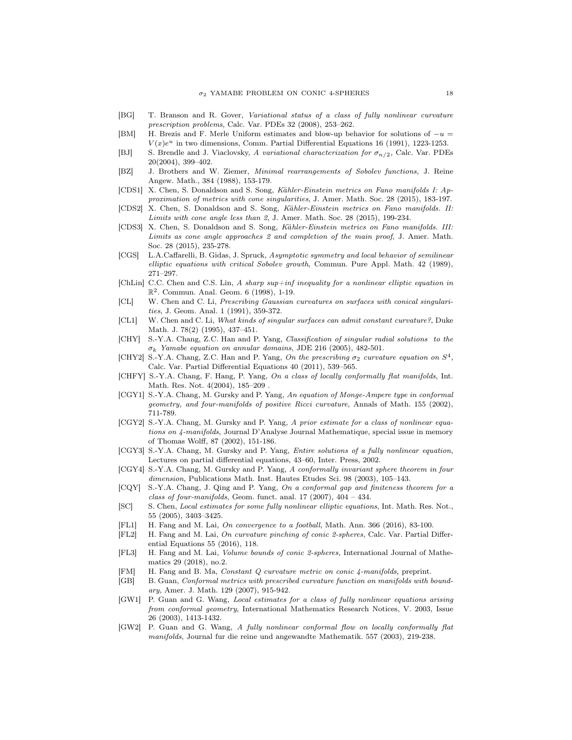- <span id="page-17-12"></span>[BG] T. Branson and R. Gover, Variational status of a class of fully nonlinear curvature prescription problems, Calc. Var. PDEs 32 (2008), 253–262.
- <span id="page-17-18"></span>[BM] H. Brezis and F. Merle Uniform estimates and blow-up behavior for solutions of  $-u =$  $V(x)e^u$  in two dimensions, Comm. Partial Differential Equations 16 (1991), 1223-1253.
- <span id="page-17-0"></span>[BJ] S. Brendle and J. Viaclovsky, A variational characterization for  $\sigma_{n/2}$ , Calc. Var. PDEs 20(2004), 399–402.
- <span id="page-17-26"></span>[BZ] J. Brothers and W. Ziemer, Minimal rearrangements of Sobolev functions, J. Reine Angew. Math., 384 (1988), 153-179.
- <span id="page-17-22"></span>[CDS1] X. Chen, S. Donaldson and S. Song, Kähler-Einstein metrics on Fano manifolds I: Approximation of metrics with cone singularities, J. Amer. Math. Soc. 28 (2015), 183-197.
- <span id="page-17-23"></span>[CDS2] X. Chen, S. Donaldson and S. Song, Kähler-Einstein metrics on Fano manifolds. II: Limits with cone angle less than 2, J. Amer. Math. Soc. 28 (2015), 199-234.
- <span id="page-17-24"></span>[CDS3] X. Chen, S. Donaldson and S. Song, Kähler-Einstein metrics on Fano manifolds. III: Limits as cone angle approaches 2 and completion of the main proof, J. Amer. Math. Soc. 28 (2015), 235-278.
- <span id="page-17-14"></span>[CGS] L.A.Caffarelli, B. Gidas, J. Spruck, Asymptotic symmetry and local behavior of semilinear elliptic equations with critical Sobolev growth, Commun. Pure Appl. Math. 42 (1989), 271–297.
- <span id="page-17-16"></span>[ChLin] C.C. Chen and C.S. Lin, A sharp sup+inf inequality for a nonlinear elliptic equation in R 2 . Commun. Anal. Geom. 6 (1998), 1-19.
- <span id="page-17-17"></span>[CL] W. Chen and C. Li, Prescribing Gaussian curvatures on surfaces with conical singularities, J. Geom. Anal. 1 (1991), 359-372.
- <span id="page-17-15"></span>[CL1] W. Chen and C. Li, What kinds of singular surfaces can admit constant curvature?, Duke Math. J. 78(2) (1995), 437–451.
- <span id="page-17-4"></span>[CHY] S.-Y.A. Chang, Z.C. Han and P. Yang, Classification of singular radial solutions to the  $\sigma_k$  Yamabe equation on annular domains, JDE 216 (2005), 482-501.
- <span id="page-17-5"></span>[CHY2] S.-Y.A. Chang, Z.C. Han and P. Yang, On the prescribing  $\sigma_2$  curvature equation on  $S^4$ , Calc. Var. Partial Differential Equations 40 (2011), 539–565.
- <span id="page-17-13"></span>[CHFY] S.-Y.A. Chang, F. Hang, P. Yang, On a class of locally conformally flat manifolds, Int. Math. Res. Not. 4(2004), 185–209 .
- <span id="page-17-1"></span>[CGY1] S.-Y.A. Chang, M. Gursky and P. Yang, An equation of Monge-Ampere type in conformal geometry, and four-manifolds of positive Ricci curvature, Annals of Math. 155 (2002), 711-789.
- <span id="page-17-2"></span>[CGY2] S.-Y.A. Chang, M. Gursky and P. Yang, A prior estimate for a class of nonlinear equations on  $4$ -manifolds, Journal D'Analyse Journal Mathematique, special issue in memory of Thomas Wolff, 87 (2002), 151-186.
- <span id="page-17-3"></span>[CGY3] S.-Y.A. Chang, M. Gursky and P. Yang, Entire solutions of a fully nonlinear equation, Lectures on partial differential equations, 43–60, Inter. Press, 2002.
- <span id="page-17-6"></span>[CGY4] S.-Y.A. Chang, M. Gursky and P. Yang, A conformally invariant sphere theorem in four dimension, Publications Math. Inst. Hautes Etudes Sci. 98 (2003), 105-143.
- <span id="page-17-7"></span>[CQY] S.-Y.A. Chang, J. Qing and P. Yang, On a conformal gap and finiteness theorem for a class of four-manifolds, Geom. funct. anal.  $17$  (2007),  $404 - 434$ .
- <span id="page-17-11"></span>[SC] S. Chen, Local estimates for some fully nonlinear elliptic equations, Int. Math. Res. Not., 55 (2005), 3403–3425.
- <span id="page-17-19"></span>[FL1] H. Fang and M. Lai, On convergence to a football, Math. Ann. 366 (2016), 83-100.
- <span id="page-17-20"></span>[FL2] H. Fang and M. Lai, On curvature pinching of conic 2-spheres, Calc. Var. Partial Differential Equations 55 (2016), 118.
- <span id="page-17-21"></span>[FL3] H. Fang and M. Lai, Volume bounds of conic 2-spheres, International Journal of Mathematics 29 (2018), no.2.
- <span id="page-17-25"></span>[FM] H. Fang and B. Ma, Constant Q curvature metric on conic 4-manifolds, preprint.
- <span id="page-17-10"></span>[GB] B. Guan, Conformal metrics with prescribed curvature function on manifolds with boundary, Amer. J. Math. 129 (2007), 915-942.
- <span id="page-17-8"></span>[GW1] P. Guan and G. Wang, Local estimates for a class of fully nonlinear equations arising from conformal geometry, International Mathematics Research Notices, V. 2003, Issue 26 (2003), 1413-1432.
- <span id="page-17-9"></span>[GW2] P. Guan and G. Wang, A fully nonlinear conformal flow on locally conformally flat manifolds, Journal fur die reine und angewandte Mathematik. 557 (2003), 219-238.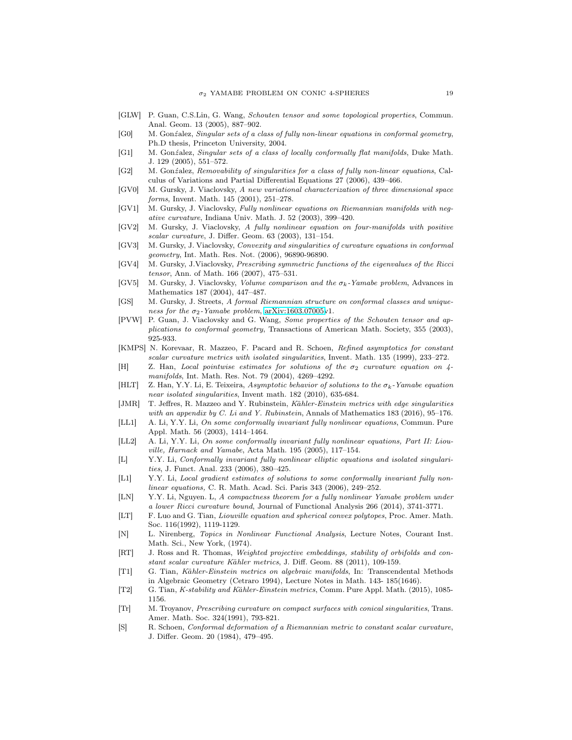- <span id="page-18-14"></span>[GLW] P. Guan, C.S.Lin, G. Wang, Schouten tensor and some topological properties, Commun. Anal. Geom. 13 (2005), 887–902.
- <span id="page-18-15"></span>[G0] M. Gonźalez, Singular sets of a class of fully non-linear equations in conformal geometry, Ph.D thesis, Princeton University, 2004.
- <span id="page-18-13"></span>[G1] M. Gonźalez, Singular sets of a class of locally conformally flat manifolds, Duke Math. J. 129 (2005), 551–572.
- <span id="page-18-16"></span>[G2] M. Gonźalez, Removability of singularities for a class of fully non-linear equations, Calculus of Variations and Partial Differential Equations 27 (2006), 439–466.
- <span id="page-18-5"></span>[GV0] M. Gursky, J. Viaclovsky, A new variational characterization of three dimensional space forms, Invent. Math. 145 (2001), 251–278.
- <span id="page-18-6"></span>[GV1] M. Gursky, J. Viaclovsky, Fully nonlinear equations on Riemannian manifolds with negative curvature, Indiana Univ. Math. J. 52 (2003), 399–420.
- <span id="page-18-7"></span>[GV2] M. Gursky, J. Viaclovsky, A fully nonlinear equation on four-manifolds with positive scalar curvature, J. Differ. Geom. 63 (2003), 131–154.
- <span id="page-18-8"></span>[GV3] M. Gursky, J. Viaclovsky, Convexity and singularities of curvature equations in conformal geometry, Int. Math. Res. Not. (2006), 96890-96890.
- [GV4] M. Gursky, J.Viaclovsky, Prescribing symmetric functions of the eigenvalues of the Ricci tensor, Ann. of Math. 166 (2007), 475–531.
- <span id="page-18-4"></span>[GV5] M. Gursky, J. Viaclovsky, *Volume comparison and the*  $\sigma_k$ -Yamabe problem, Advances in Mathematics 187 (2004), 447–487.
- <span id="page-18-1"></span>[GS] M. Gursky, J. Streets, A formal Riemannian structure on conformal classes and uniqueness for the  $\sigma_2$ -Yamabe problem, [arXiv:1603.07005v](http://arxiv.org/abs/1603.07005)1.
- <span id="page-18-12"></span>[PVW] P. Guan, J. Viaclovsky and G. Wang, Some properties of the Schouten tensor and applications to conformal geometry, Transactions of American Math. Society, 355 (2003), 925-933.
- <span id="page-18-18"></span>[KMPS] N. Korevaar, R. Mazzeo, F. Pacard and R. Schoen, Refined asymptotics for constant scalar curvature metrics with isolated singularities, Invent. Math. 135 (1999), 233–272.
- <span id="page-18-23"></span>[H] Z. Han, Local pointwise estimates for solutions of the  $\sigma_2$  curvature equation on  $\varphi$ manifolds, Int. Math. Res. Not. 79 (2004), 4269–4292.
- <span id="page-18-17"></span>[HLT] Z. Han, Y.Y. Li, E. Teixeira, Asymptotic behavior of solutions to the  $\sigma_k$ -Yamabe equation near isolated singularities, Invent math. 182 (2010), 635-684.
- [JMR] T. Jeffres, R. Mazzeo and Y. Rubinstein, Kähler-Einstein metrics with edge singularities with an appendix by C. Li and Y. Rubinstein, Annals of Mathematics 183 (2016), 95–176.
- <span id="page-18-2"></span>[LL1] A. Li, Y.Y. Li, On some conformally invariant fully nonlinear equations, Commun. Pure Appl. Math. 56 (2003), 1414–1464.
- <span id="page-18-3"></span>[LL2] A. Li, Y.Y. Li, On some conformally invariant fully nonlinear equations, Part II: Liouville, Harnack and Yamabe, Acta Math. 195 (2005), 117–154.
- <span id="page-18-9"></span>[L] Y.Y. Li, Conformally invariant fully nonlinear elliptic equations and isolated singularities, J. Funct. Anal. 233 (2006), 380–425.
- <span id="page-18-10"></span>[L1] Y.Y. Li, Local gradient estimates of solutions to some conformally invariant fully nonlinear equations, C. R. Math. Acad. Sci. Paris 343 (2006), 249–252.
- <span id="page-18-11"></span>[LN] Y.Y. Li, Nguyen. L, A compactness theorem for a fully nonlinear Yamabe problem under a lower Ricci curvature bound, Journal of Functional Analysis 266 (2014), 3741-3771.
- <span id="page-18-20"></span>[LT] F. Luo and G. Tian, Liouville equation and spherical convex polytopes, Proc. Amer. Math. Soc. 116(1992), 1119-1129.
- [N] L. Nirenberg, Topics in Nonlinear Functional Analysis, Lecture Notes, Courant Inst. Math. Sci., New York, (1974).
- [RT] J. Ross and R. Thomas, Weighted projective embeddings, stability of orbifolds and constant scalar curvature Kähler metrics, J. Diff. Geom. 88 (2011), 109-159.
- <span id="page-18-21"></span>[T1] G. Tian, Kähler-Einstein metrics on algebraic manifolds, In: Transcendental Methods in Algebraic Geometry (Cetraro 1994), Lecture Notes in Math. 143- 185(1646).
- <span id="page-18-22"></span>[T2] G. Tian, *K-stability and Kähler-Einstein metrics*, Comm. Pure Appl. Math. (2015), 1085-1156.
- <span id="page-18-19"></span>[Tr] M. Troyanov, Prescribing curvature on compact surfaces with conical singularities, Trans. Amer. Math. Soc. 324(1991), 793-821.
- <span id="page-18-0"></span>[S] R. Schoen, Conformal deformation of a Riemannian metric to constant scalar curvature, J. Differ. Geom. 20 (1984), 479–495.